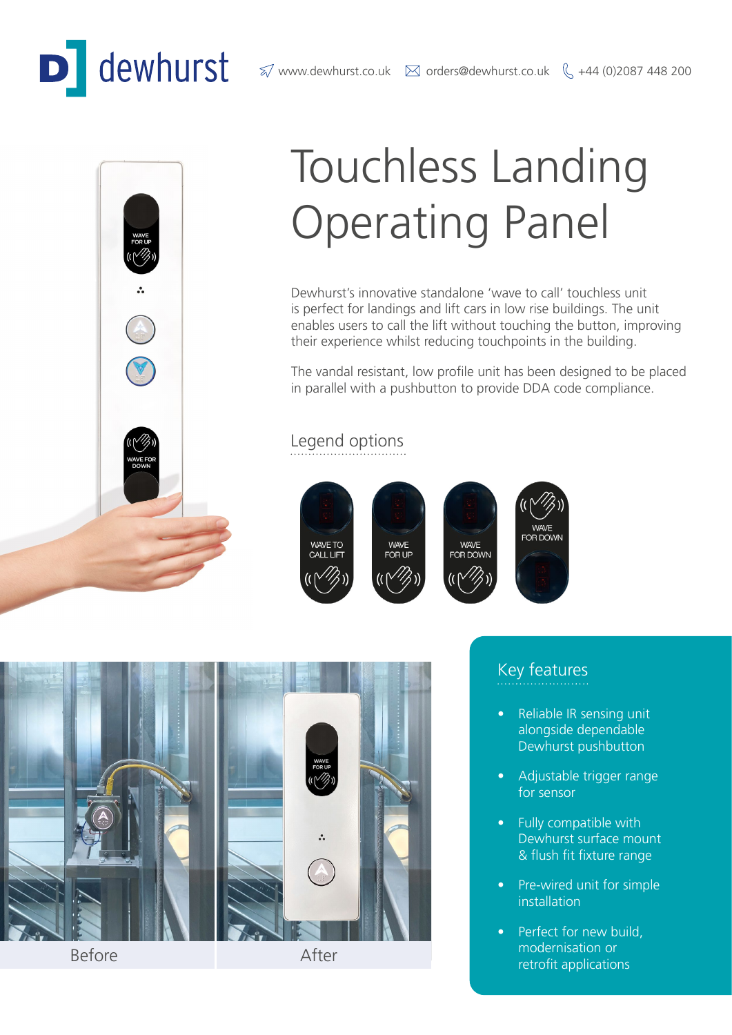# dewhurst

 $\%$  www.dewhurst.co.uk  $\boxtimes$  orders@dewhurst.co.uk  $\%$  +44 (0)2087 448 200



## Touchless Landing Operating Panel

Dewhurst's innovative standalone 'wave to call' touchless unit is perfect for landings and lift cars in low rise buildings. The unit enables users to call the lift without touching the button, improving their experience whilst reducing touchpoints in the building.

The vandal resistant, low profile unit has been designed to be placed in parallel with a pushbutton to provide DDA code compliance.

### Legend options





Before After

• Reliable IR sensing unit

Key features

- alongside dependable Dewhurst pushbutton
- Adjustable trigger range for sensor
- Fully compatible with Dewhurst surface mount & flush fit fixture range
- Pre-wired unit for simple installation
- Perfect for new build, modernisation or retrofit applications